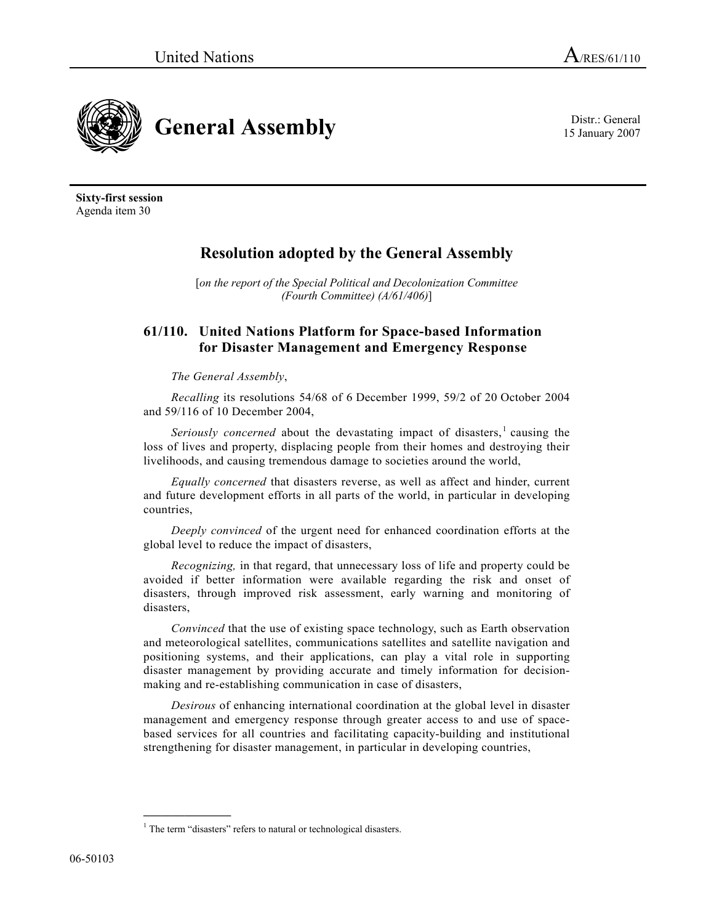15 January 2007



**Sixty-first session**  Agenda item 30

## **Resolution adopted by the General Assembly**

[*on the report of the Special Political and Decolonization Committee (Fourth Committee) (A/61/406)*]

## **61/110. United Nations Platform for Space-based Information for Disaster Management and Emergency Response**

## *The General Assembly*,

*Recalling* its resolutions 54/68 of 6 December 1999, 59/2 of 20 October 2004 and 59/116 of 10 December 2004,

Seriously concerned about the devastating impact of disasters,<sup>1</sup> causing the loss of lives and property, displacing people from their homes and destroying their livelihoods, and causing tremendous damage to societies around the world,

*Equally concerned* that disasters reverse, as well as affect and hinder, current and future development efforts in all parts of the world, in particular in developing countries,

*Deeply convinced* of the urgent need for enhanced coordination efforts at the global level to reduce the impact of disasters,

*Recognizing,* in that regard, that unnecessary loss of life and property could be avoided if better information were available regarding the risk and onset of disasters, through improved risk assessment, early warning and monitoring of disasters,

*Convinced* that the use of existing space technology, such as Earth observation and meteorological satellites, communications satellites and satellite navigation and positioning systems, and their applications, can play a vital role in supporting disaster management by providing accurate and timely information for decisionmaking and re-establishing communication in case of disasters,

*Desirous* of enhancing international coordination at the global level in disaster management and emergency response through greater access to and use of spacebased services for all countries and facilitating capacity-building and institutional strengthening for disaster management, in particular in developing countries,

<sup>&</sup>lt;sup>1</sup> The term "disasters" refers to natural or technological disasters.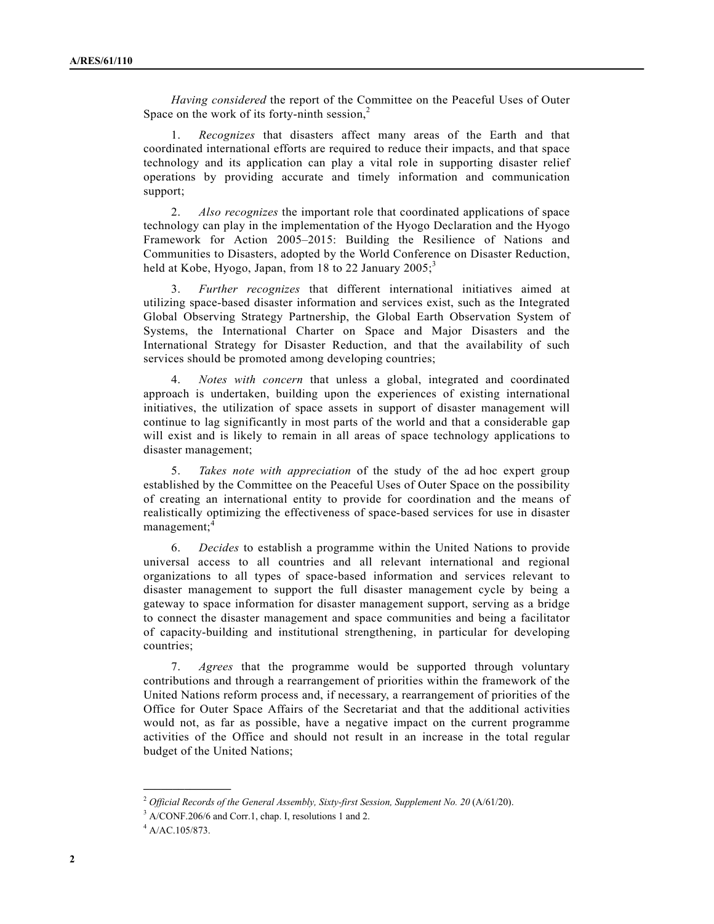*Having considered* the report of the Committee on the Peaceful Uses of Outer Space on the work of its forty-ninth session, $<sup>2</sup>$ </sup>

 1. *Recognizes* that disasters affect many areas of the Earth and that coordinated international efforts are required to reduce their impacts, and that space technology and its application can play a vital role in supporting disaster relief operations by providing accurate and timely information and communication support;

 2. *Also recognizes* the important role that coordinated applications of space technology can play in the implementation of the Hyogo Declaration and the Hyogo Framework for Action 2005–2015: Building the Resilience of Nations and Communities to Disasters, adopted by the World Conference on Disaster Reduction, held at Kobe, Hyogo, Japan, from 18 to 22 January  $2005$ ;<sup>3</sup>

 3. *Further recognizes* that different international initiatives aimed at utilizing space-based disaster information and services exist, such as the Integrated Global Observing Strategy Partnership, the Global Earth Observation System of Systems, the International Charter on Space and Major Disasters and the International Strategy for Disaster Reduction, and that the availability of such services should be promoted among developing countries;

 4. *Notes with concern* that unless a global, integrated and coordinated approach is undertaken, building upon the experiences of existing international initiatives, the utilization of space assets in support of disaster management will continue to lag significantly in most parts of the world and that a considerable gap will exist and is likely to remain in all areas of space technology applications to disaster management;

 5. *Takes note with appreciation* of the study of the ad hoc expert group established by the Committee on the Peaceful Uses of Outer Space on the possibility of creating an international entity to provide for coordination and the means of realistically optimizing the effectiveness of space-based services for use in disaster management;<sup>4</sup>

 6. *Decides* to establish a programme within the United Nations to provide universal access to all countries and all relevant international and regional organizations to all types of space-based information and services relevant to disaster management to support the full disaster management cycle by being a gateway to space information for disaster management support, serving as a bridge to connect the disaster management and space communities and being a facilitator of capacity-building and institutional strengthening, in particular for developing countries;

 7. *Agrees* that the programme would be supported through voluntary contributions and through a rearrangement of priorities within the framework of the United Nations reform process and, if necessary, a rearrangement of priorities of the Office for Outer Space Affairs of the Secretariat and that the additional activities would not, as far as possible, have a negative impact on the current programme activities of the Office and should not result in an increase in the total regular budget of the United Nations;

**\_\_\_\_\_\_\_\_\_\_\_\_\_\_\_** 

<sup>&</sup>lt;sup>2</sup> Official Records of the General Assembly, Sixty-first Session, Supplement No. 20 (A/61/20).

<sup>&</sup>lt;sup>3</sup> A/CONF.206/6 and Corr.1, chap. I, resolutions 1 and 2.

<sup>4</sup> A/AC.105/873.